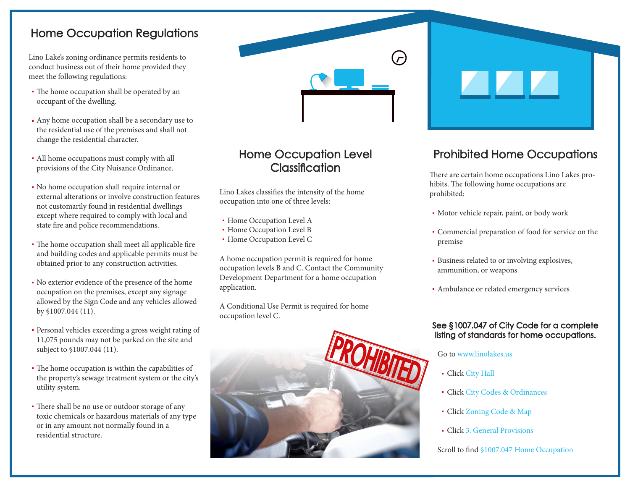## Home Occupation Regulations

Lino Lake's zoning ordinance permits residents to conduct business out of their home provided they meet the following regulations:

- The home occupation shall be operated by an occupant of the dwelling.
- Any home occupation shall be a secondary use to the residential use of the premises and shall not change the residential character.
- All home occupations must comply with all provisions of the City Nuisance Ordinance.
- No home occupation shall require internal or external alterations or involve construction features not customarily found in residential dwellings except where required to comply with local and state fire and police recommendations.
- The home occupation shall meet all applicable fire and building codes and applicable permits must be obtained prior to any construction activities.
- No exterior evidence of the presence of the home occupation on the premises, except any signage allowed by the Sign Code and any vehicles allowed by §1007.044 (11).
- Personal vehicles exceeding a gross weight rating of 11,075 pounds may not be parked on the site and subject to §1007.044 (11).
- The home occupation is within the capabilities of the property's sewage treatment system or the city's utility system.
- There shall be no use or outdoor storage of any toxic chemicals or hazardous materials of any type or in any amount not normally found in a residential structure.

# Home Occupation Level **Classification**

Lino Lakes classifies the intensity of the home occupation into one of three levels:

- **Home Occupation Level A**
- Home Occupation Level B
- Home Occupation Level C

A home occupation permit is required for home occupation levels B and C. Contact the Community Development Department for a home occupation application.

A Conditional Use Permit is required for home occupation level C.



# Prohibited Home Occupations

There are certain home occupations Lino Lakes prohibits. The following home occupations are prohibited:

- Motor vehicle repair, paint, or body work
- Commercial preparation of food for service on the premise
- Business related to or involving explosives, ammunition, or weapons
- Ambulance or related emergency services

### See §1007.047 of City Code for a complete listing of standards for home occupations.

### Go to www.linolakes.us

- Click City Hall
- Click City Codes & Ordinances
- Click Zoning Code & Map
- Click 3. General Provisions

### Scroll to find §1007.047 Home Occupation